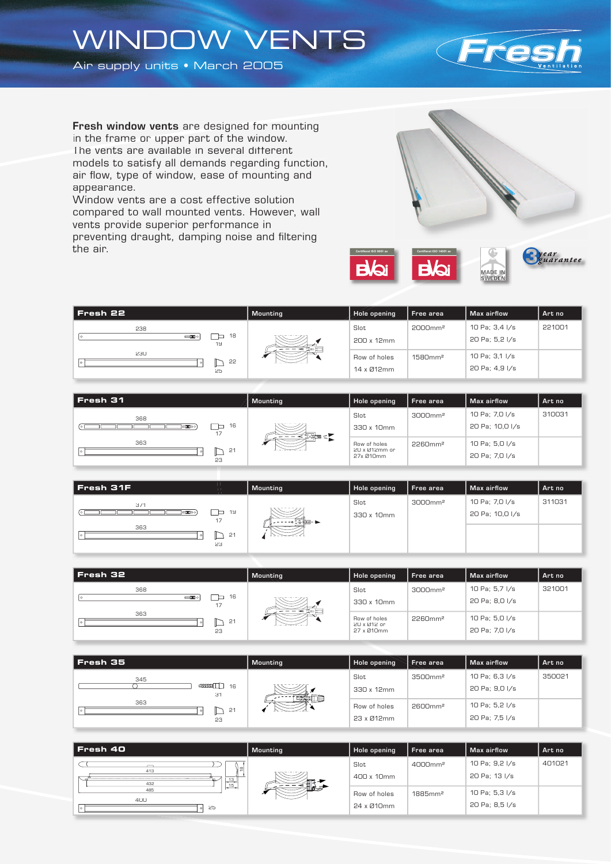## WINDOW VENTS

Air supply units • March 2005



Fresh window vents are designed for mounting in the frame or upper part of the window. The vents are available in several different models to satisfy all demands regarding function, air flow, type of window, ease of mounting and appearance.

Window vents are a cost effective solution compared to wall mounted vents. However, wall vents provide superior performance in preventing draught, damping noise and filtering the air.



| Fresh 22                             | <b>Mounting</b> | Hole opening | Free area           | Max airflow    | Art no |
|--------------------------------------|-----------------|--------------|---------------------|----------------|--------|
| 238                                  |                 | Slot         | 2000mm <sup>2</sup> | 10 Pa; 3,4 I/s | 221001 |
| 18<br>$\equiv$ <b>x</b> o<br>⊏<br>19 |                 | 200 x 12mm   |                     | 20 Pa; 5,2 I/s |        |
| 230<br>22                            | ↗               | Row of holes | 1580mm <sup>2</sup> | 10 Pa; 3,1 I/s |        |
| 25                                   |                 | 14 x Ø12mm   |                     | 20 Pa; 4,9 I/s |        |

| Fresh 31              | Mounting | Hole opening                  | Free area           | Max airflow     | Art no |
|-----------------------|----------|-------------------------------|---------------------|-----------------|--------|
| 368                   |          | Slot                          | 3000mm <sup>2</sup> | 10 Pa; 7,0 I/s  | 310031 |
| 16<br>⊢<br>□工□○<br>17 | ⋝⋑⋬⋑∊⋗   | 330 x 10mm                    |                     | 20 Pa; 10,0 I/s |        |
| 363<br>21             |          | Row of holes<br>20 x Ø12mm or | 2260mm <sup>2</sup> | 10 Pa; 5,0 I/s  |        |
| 23                    |          | 27x 010mm                     |                     | 20 Pa; 7,0 I/s  |        |

| 10 Pa; 7,0 I/s<br>3000mm <sup>2</sup><br>Slot<br>371<br>19<br>⊏<br><b>EXPO</b><br>20 Pa; 10,0 I/s<br>330 x 10mm<br>17<br>nadien- <del>b</del><br>363 | Fresh 31F | Mounting | Hole opening | Free area | Max airflow | Art no |
|------------------------------------------------------------------------------------------------------------------------------------------------------|-----------|----------|--------------|-----------|-------------|--------|
|                                                                                                                                                      |           |          |              |           |             | 311031 |
|                                                                                                                                                      |           |          |              |           |             |        |
| 23                                                                                                                                                   | 21        |          |              |           |             |        |

| l Fresh 32          | <b>Mounting</b> | Hole opening              | Free area           | Max airflow    | Art no |
|---------------------|-----------------|---------------------------|---------------------|----------------|--------|
| 368                 |                 | Slot                      | 3000mm <sup>2</sup> | 10 Pa; 5,7 I/s | 321001 |
| 16<br>$-\mathbf{x}$ |                 | 330 x 10mm                |                     | 20 Pa; 8,0 I/s |        |
| 363<br>21           | ↗               | Row of holes              | 2260mm <sup>2</sup> | 10 Pa; 5,0 I/s |        |
| 23                  |                 | 20 x 012 or<br>27 x 010mm |                     | 20 Pa; 7,0 I/s |        |

| l Fresh 35                                                                                   | <b>Mounting</b> | Hole opening | Free area           | Max airflow    | Art no |
|----------------------------------------------------------------------------------------------|-----------------|--------------|---------------------|----------------|--------|
| 345                                                                                          |                 | Slot         | 3500mm <sup>2</sup> | 10 Pa; 6,3 I/s | 350021 |
| $\begin{array}{c}\n\text{sum}\n\begin{array}{c}\n\text{sum}\n\end{array}\n\end{array}$<br>31 |                 | 330 x 12mm   |                     | 20 Pa; 9,0 I/s |        |
| 363<br>21                                                                                    | MANTE E         | Row of holes | 2600mm <sup>2</sup> | 10 Pa; 5,2 I/s |        |
| 23                                                                                           |                 | 23 x Ø12mm   |                     | 20 Pa; 7,5 I/s |        |

| Fresh 40                               | Mounting | <b>Hole opening</b>        | Free area              | Max airflow                      | Art no |
|----------------------------------------|----------|----------------------------|------------------------|----------------------------------|--------|
| $\equiv$<br>413                        |          | Slot<br>400 x 10mm         | 4000mm <sup>2</sup>    | 10 Pa; 9,2 I/s<br>20 Pa; 13 I/s  | 401021 |
| 13<br>432<br>$-15$<br>485<br>400<br>25 | — ⊿      | Row of holes<br>24 x Ø10mm | $1885$ mm <sup>2</sup> | 10 Pa; 5,3 I/s<br>20 Pa; 8,5 I/s |        |